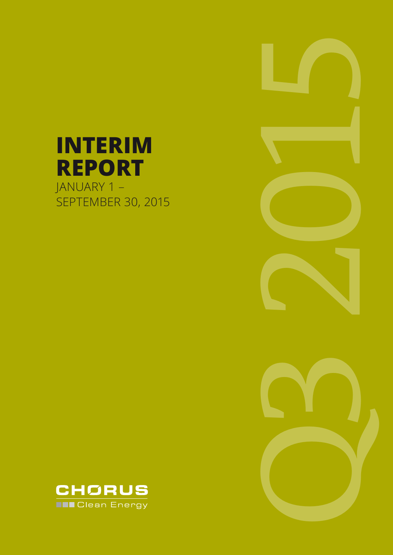# **INTERIM REPORT** JANUARY 1 – SEPTEMBER 30, 2015





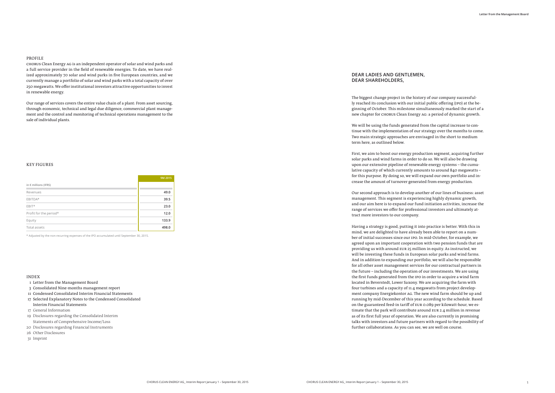#### PROFILE

CHORUS Clean Energy AG is an independent operator of solar and wind parks and a full service provider in the field of renewable energies. To date, we have realized approximately 70 solar and wind parks in five European countries, and we currently manage a portfolio of solar and wind parks with a total capacity of over 250 megawatts. We offer institutional investors attractive opportunities to invest in renewable energy.

Our range of services covers the entire value chain of a plant: From asset sourcing, through economic, technical and legal due diligence, commercial plant management and the control and monitoring of technical operations management to the sale of individual plants.

#### INDEX

- 1 Letter from the Management Board
- 3 Consolidated Nine-months management report
- 11 Condensed Consolidated Interim Financial Statements
- 17 Selected Explanatory Notes to the Condensed Consolidated Interim Financial Statements
- 17 General Information
- 19 Disclosures regarding the Consolidated Interim Statements of Comprehensive Income/Loss
- 20 Disclosures regarding Financial Instruments
- 26 Other Disclosures
- 31 Imprint

#### KEY FIGURES

|                               | 9M 2015 |
|-------------------------------|---------|
| in $\epsilon$ millions (IFRS) |         |
| Revenues                      | 49.0    |
| EBITDA*                       | 39.5    |
| $EBIT*$                       | 23.0    |
| Profit for the period*        | 12.0    |
| Equity                        | 133.9   |
| Total assets                  | 498.0   |

\* Adjusted by the non-recurring expenses of the IPO accumulated until September 30, 2015.

The biggest change project in the history of our company successfully reached its conclusion with our initial public offering (IPO) at the beginning of October. This milestone simultaneously marked the start of a new chapter for CHORUS Clean Energy AG: a period of dynamic growth.

We will be using the funds generated from the capital increase to continue with the implementation of our strategy over the months to come. Two main strategic approaches are envisaged in the short to medium term here, as outlined below.

First, we aim to boost our energy production segment, acquiring further solar parks and wind farms in order to do so. We will also be drawing upon our extensive pipeline of renewable energy systems – the cumulative capacity of which currently amounts to around 840 megawatts – for this purpose. By doing so, we will expand our own portfolio and increase the amount of turnover generated from energy production.

Our second approach is to develop another of our lines of business: asset management. This segment is experiencing highly dynamic growth, and our aim here is to expand our fund initiation activities, increase the range of services we offer for professional investors and ultimately attract more investors to our company.

Having a strategy is good, putting it into practice is better. With this in mind, we are delighted to have already been able to report on a number of initial successes since our IPO. In mid-October, for example, we agreed upon an important cooperation with two pension funds that are providing us with around EUR 25 million in equity. As instructed, we will be investing these funds in European solar parks and wind farms. And in addition to expanding our portfolio, we will also be responsible for all other asset management services for our contractual partners in the future – including the operation of our investments. We are using the first funds generated from the IPO in order to acquire a wind farm located in Beverstedt, Lower Saxony. We are acquiring the farm with four turbines and a capacity of 11.4 megawatts from project development company Energiekontor AG. The new wind farm should be up and running by mid-December of this year according to the schedule. Based on the guaranteed feed-in tariff of EUR 0.089 per kilowatt-hour, we estimate that the park will contribute around EUR 2.4 million in revenue as of its first full year of operation. We are also currently in promising talks with investors and future partners with regard to the possibility of further collaborations. As you can see, we are well on course.

### **DEAR LADIES AND GENTLEMEN, DEAR SHAREHOLDERS,**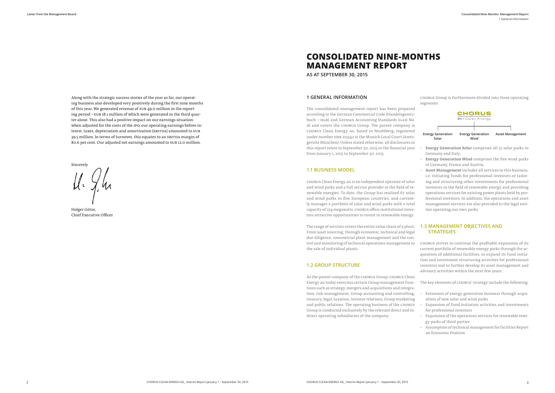## **CONSOLIDATED NINE-MONTHS MANAGEMENT REPORT**

**AS AT SEPTEMBER 30, 2015**

#### **1 GENERAL INFORMATION**

The consolidated management report has been prepared according to the German Commercial Code (Handelsgesetzbuch – HGB) and German Accounting Standards (GAS) No. 16 and covers the CHORUS Group. The parent company is CHORUS Clean Energy AG, based in Neubiberg, registered under number HRB 213342 at the Munich Local Court (Amtsgericht München). Unless stated otherwise, all disclosures in this report relate to September 30, 2015 or the financial year from January 1, 2015 to September 30, 2015.

#### **1.1 BUSINESS MODEL**

CHORUS Clean Energy AG is an independent operator of solar and wind parks and a full service provider in the field of renewable energies. To date, the Group has realized 67 solar and wind parks in five European countries, and currently manages a portfolio of solar and wind parks with a total capacity of 254 megawatts. CHORUS offers institutional investors attractive opportunities to invest in renewable energy.

The range of services covers the entire value chain of a plant: From asset sourcing, through economic, technical and legal due diligence, commercial plant management and the control and monitoring of technical operations management to the sale of individual plants.

#### **1.2 GROUP STRUCTURE**

CHORUS Group is furthermore divided into three operating segments:

- Energy Generation Solar comprises all 57 solar parks in Germany and Italy.
- Energy Generation Wind comprises the five wind parks in Germany, France and Austria.
- Asset Management includes all services in this business, i.e. initiating funds for professional investors or tailoring and structuring other investments for professional investors in the field of renewable energy and providing operations services for existing power plants held by professional investors. In addition, the operations and asset management services are also provided to the legal entities operating our own parks.

As the parent company of the CHORUS Group, CHORUS Clean Energy AG today exercises certain Group management functions such as strategy, mergers and acquisitions and integration, risk management, Group accounting and controlling, treasury, legal, taxation, investor relations, Group marketing and public relations. The operating business of the CHORUS Group is conducted exclusively by the relevant direct and indirect operating subsidiaries of the company. The key elements of CHORUS' strategy include the following: • Extension of energy generation business through acquisition of new solar and wind parks • Expansion of fund initiation activities and investments for professional investors • Expansion of the operations services for renewable ener-

### **1.3 MANAGEMENT OBJECTIVES AND STRATEGIES**

CHORUS strives to continue the profitable expansion of its current portfolio of renewable energy parks through the acquisition of additional facilities, to expand its fund initiation and investment structuring activities for professional investors and to further develop its asset management and advisory activities within the next few years.

- 
- 
- gy parks of third parties
- Assumption of technical management for facilities Report on Economic Position



Along with the strategic success stories of the year so far, our operating business also developed very positively during the first nine months of this year. We generated revenue of EUR 49.0 million in the reporting period – EUR 18.1 million of which were generated in the third quarter alone. This also had a positive impact on our earnings situation: when adjusted for the costs of the IPO, our operating earnings before interest, taxes, depreciation and amortization (EBITDA) amounted to EUR 39.5 million. In terms of turnover, this equates to an EBITDA margin of 80.6 per cent. Our adjusted net earnings amounted to EUR 12.0 million.

Sincerely

Holger Götze, Chief Executive Officer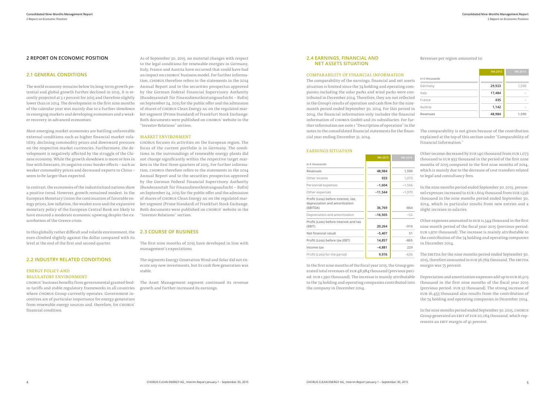#### **2.4 EARNINGS, FINANCIAL AND NET ASSETS SITUATION**

#### COMPARABILITY OF FINANCIAL INFORMATION

The comparability of the earnings, financial and net assets situation is limited since the 74 holding and operating companies including the solar parks and wind parks were contributed in December 2014. Therefore, they are not reflected in the Group's results of operation and cash flow for the ninemonth period ended September 30, 2014. For this period in 2014, the financial information only includes the financial information of CHORUS GmbH and its subsidiaries. For further information see note 1 "Description of operation" in the notes to the consolidated financial statements for the financial year ending December 31, 2014.

and the company

#### EARNINGS SITUATION

|                                                                                  | 9M 2015   | 9M 2014  |
|----------------------------------------------------------------------------------|-----------|----------|
| in $\epsilon$ thousands                                                          |           |          |
| Revenues                                                                         | 48,984    | 1,590    |
| Other income                                                                     | 933       | 1,073    |
| Personnel expenses                                                               | $-1,604$  | $-1,556$ |
| Other expenses                                                                   | $-11,544$ | $-1,970$ |
| Profit (Loss) before interest, tax,<br>depreciation and amortization<br>(EBITDA) | 36,769    | $-864$   |
| Depreciation and amortization                                                    | $-16,505$ | $-52$    |
| Profit (Loss) before interest and tax<br>(EBIT)                                  | 20,264    | $-916$   |
| Net financial result                                                             | $-5,407$  | 51       |
| Profit (Loss) before tax (EBT)                                                   | 14,857    | $-865$   |
| Income tax                                                                       | $-4,881$  | 229      |
| Profit (Loss) for the period                                                     | 9,976     | $-636$   |

In the first nine months of the fiscal year 2015, the Group generated total revenues of EUR 48,984 thousand (previous period: EUR 1,590 thousand). The increase is mainly attributable to the 74 holding and operating companies contributed into the company in December 2014.

Revenues per region amounted to:

|                         | 9M 2015 | 9M 2014 |
|-------------------------|---------|---------|
| in $\epsilon$ thousands |         |         |
| Germany                 | 29,923  | 1,590   |
| Italy                   | 17,484  |         |
| France                  | 435     |         |
| Austria                 | 1,142   |         |
| Revenues                | 48,984  | 1,590   |

The comparability is not given because of the contribution explained at the top of this section under "Comparability of Financial Information."

Other income decreased by EUR 140 thousand from EUR 1,073 thousand to EUR 933 thousand in the period of the first nine months of 2015 compared to the first nine months of 2014, which is mainly due to the decrease of cost transfers related to legal and consultancy fees.

In the nine months period ended September 30, 2015, personnel expenses increased to EUR 1,604 thousand from EUR 1,556 thousand in the nine months period ended September 30, 2014, which in particular results from new entries and a slight increase in salaries.

Other expenses amounted to EUR 11,544 thousand in the first nine month period of the fiscal year 2015 (previous period: EUR 1,970 thousand). The increase is mainly attributable to the contribution of the 74 holding and operating companies in December 2014.

The EBITDA for the nine months period ended September 30, 2015, therefore amounted to EUR 36,769 thousand. The EBITDA margin was 75 percent.

Depreciation and amortization expenses add up to EUR 16,505 thousand in the first nine months of the fiscal year 2015 (previous period: EUR 52 thousand). The strong increase of EUR 16,453 thousand also results from the contribution of the 74 holding and operating companies in December 2014.

In the nine months period ended September 30, 2015, CHORUS Group generated an EBIT of EUR 20,264 thousand, which represents an EBIT margin of 41 percent.

#### **2 REPORT ON ECONOMIC POSITION**

### **2.1 GENERAL CONDITIONS**

The world economy remains below its long-term growth potential and global growth further declined in 2015. It is recently projected at 3.1 percent for 2015 and therefore slightly lower than in 2014. The development in the first nine months of the calendar year was mainly due to a further slowdown in emerging markets and developing economies and a weaker recovery in advanced economies.

Most emerging market economies are battling unfavorable external conditions such as higher financial market volatility, declining commodity prices and downward pressure on the respective market currencies. Furthermore, the development is negatively affected by the struggle of the Chinese economy. While the growth slowdown is more or less in line with forecasts, its negative cross-border effects – such as weaker commodity prices and decreased exports to China – seem to be larger than expected.

In contrast, the economies of the industrialized nations show a positive trend. However, growth remained modest. In the European Monetary Union the continuation of favorable energy prices, low inflation, the weaker euro and the expansive monetary policy of the European Central Bank are likely to have ensured a moderate economic upswing despite the exacerbation of the Greece crisis.

In this globally rather difficult and volatile environment, the **2.3 COURSE OF BUSINESS** euro climbed slightly against the dollar compared with its level at the end of the first and second quarter.

#### **2.2 INDUSTRY RELATED CONDITIONS**

#### ENERGY POLICY AND REGULATORY ENVIRONMENT

CHORUS' business benefits from governmental granted feedin-tariffs and stable regulatory frameworks in all countries where CHORUS Group currently operates. Government incentives are of particular importance for energy generation from renewable energy sources and, therefore, for CHORUS' financial condition.

As of September 30, 2015, no material changes with respect to the legal conditions for renewable energies in Germany, Italy, France and Austria have occurred that could have had an impact on CHORUS' business model. For further information, CHORUS therefore refers to the statements in the 2014 Annual Report and to the securities prospectus approved by the German Federal Financial Supervisory Authority (Bundesanstalt für Finanzdienstleistungsaufsicht – Bafin) on September 24, 2015 for the public offer and the admission of shares of CHORUS Clean Energy AG on the regulated market segment (Prime Standard) of Frankfurt Stock Exchange. Both documents were published on CHORUS' website in the "Investor Relations" section.

#### MARKET ENVIRONMENT

CHORUS focuses its activities on the European region. The focus of the current portfolio is in Germany. The conditions in the surroundings of renewable energy plants did not change significantly within the respective target markets in the first three quarters of 2015. For further information, CHORUS therefore refers to the statements in the 2014 Annual Report and to the securities prospectus approved by the German Federal Financial Supervisory Authority (Bundesanstalt für Finanzdienstleistungsaufsicht – Bafin) on September 24, 2015 for the public offer and the admission of shares of CHORUS Clean Energy AG on the regulated market segment (Prime Standard) of Frankfurt Stock Exchange. Both documents were published on CHORUS' website in the "Investor Relations" section.

The first nine months of 2015 have developed in line with management's expectations.

The segments Energy Generation Wind and Solar did not execute any new investments, but its cash flow generation was stable.

The Asset Management segment continued its revenue growth and further increased its earnings.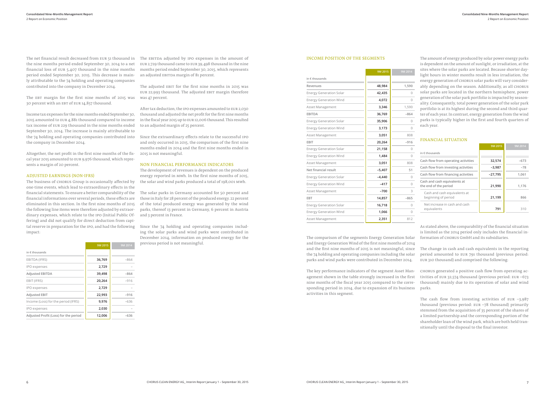The net financial result decreased from EUR 51 thousand in the nine months period ended September 30, 2014 to a net financial loss of EUR 5,407 thousand in the nine months period ended September 30, 2015. This decrease is mainly attributable to the 74 holding and operating companies contributed into the company in December 2014.

The EBT margin for the first nine months of 2015 was was 47 percent. 30 percent with an EBT of EUR 14,857 thousand.

Income tax expenses for the nine months ended September 30, 2015 amounted to EUR 4,881 thousand compared to income tax income of EUR 229 thousand in the nine months ended September 30, 2014. The increase is mainly attributable to the 74 holding and operating companies contributed into the company in December 2014.

Altogether, the net profit in the first nine months of the fiscal year 2015 amounted to EUR 9,976 thousand, which represents a margin of 20 percent.

#### ADJUSTED EARNINGS (NON-IFRS)

The business of CHORUS Group is occasionally affected by one-time events, which lead to extraordinary effects in the financial statements. To ensure a better comparability of the financial informations over several periods, these effects are eliminated in this section. In the first nine months of 2015 the following line items were therefore adjusted by extraordinary expenses, which relate to the IPO (Initial Public Offering) and did not qualify for direct deduction from capital reserve in preparation for the IPO, and had the following impact:

**9M 2015 9M 2014**

|                                       | <b>9M 2015</b> | <b>9M 2014</b> |
|---------------------------------------|----------------|----------------|
| in $\epsilon$ thousands               |                |                |
| EBITDA (IFRS)                         | 36,769         | $-864$         |
| IPO expenses                          | 2,729          |                |
| <b>Adjusted EBITDA</b>                | 39,498         | $-864$         |
| EBIT (IFRS)                           | 20,264         | $-916$         |
| IPO expenses                          | 2,729          |                |
| <b>Adjusted EBIT</b>                  | 22,993         | $-916$         |
| Income (Loss) for the period (IFRS)   | 9,976          | $-636$         |
| IPO expenses                          | 2,030          |                |
| Adjusted Profit (Loss) for the period | 12,006         | $-636$         |

The EBITDA adjusted by IPO expenses in the amount of EUR 2,729 thousand came to EUR 39,498 thousand in the nine months period ended September 30, 2015, which represents an adjusted EBITDA margin of 81 percent.

The adjusted EBIT for the first nine months in 2015 was EUR 22,993 thousand. The adjusted EBIT margin therefore

After tax deduction, the IPO expenses amounted to EUR 2,030 thousand and adjusted the net profit for the first nine months in the fiscal year 2015 up to EUR 12,006 thousand. This resulted to an adjusted margin of 25 percent.

Since the extraordinary effects relate to the successful IPO and only occurred in 2015, the comparison of the first nine months ended in 2014 and the first nine months ended in 2015 is not meaningful.

#### NON FINANCIAL PERFORMANCE INDICATORS

The development of revenues is dependent on the produced energy reported in MWh. In the first nine months of 2015, the solar and wind parks produced a total of 198,001 MWh.

The solar parks in Germany accounted for 50 percent and those in Italy for 28 percent of the produced energy. 22 percent of the total produced energy was generated by the wind parks, thereof 13 percent in Germany, 6 percent in Austria and 3 percent in France.

> The cash flow from investing activities of EUR  $-3,987$ thousand (previous period: EUR –78 thousand) primarily stemmed from the acquisition of 35 percent of the shares of a limited partnership and the corresponding portion of the shareholder loan of the wind park, which are both held transitionally until the disposal to the final investor.

Since the 74 holding and operating companies including the solar parks and wind parks were contributed in December 2014, information on produced energy for the previous period is not meaningful.

#### INCOME POSITION OF THE SEGMENTS

The key performance indicators of the segment Asset Management shown in the table strongly increased in the first nine months of the fiscal year 2015 compared to the corresponding period in 2014, due to expansion of its business activities in this segment.

|                                | 9M 2015  | 9M 2014      | sites where the solar parks are located. Because shorter day-<br>light hours in winter months result in less irradiation, the  |           |         |  |  |
|--------------------------------|----------|--------------|--------------------------------------------------------------------------------------------------------------------------------|-----------|---------|--|--|
| in $\epsilon$ thousands        |          |              | energy generation of CHORUS solar parks will vary consider-                                                                    |           |         |  |  |
| Revenues                       | 48,984   | 1,590        | ably depending on the season. Additionally, as all CHORUS                                                                      |           |         |  |  |
| <b>Energy Generation Solar</b> | 42,435   | $\Omega$     | solar parks are located in the northern hemisphere, power                                                                      |           |         |  |  |
| <b>Energy Generation Wind</b>  | 4,072    | $\Omega$     | generation of the solar park portfolio is impacted by season-<br>ality. Consequently, total power generation of the solar park |           |         |  |  |
| Asset Management               | 3,346    | 1,590        | portfolio is at its highest during the second and third quar-                                                                  |           |         |  |  |
| <b>EBITDA</b>                  | 36,769   | $-864$       | ter of each year. In contrast, energy generation from the wind                                                                 |           |         |  |  |
| <b>Energy Generation Solar</b> | 35,906   | $\Omega$     | parks is typically higher in the first and fourth quarters of                                                                  |           |         |  |  |
| <b>Energy Generation Wind</b>  | 3,173    | $\Omega$     | each year.                                                                                                                     |           |         |  |  |
| Asset Management               | 3,051    | 808          |                                                                                                                                |           |         |  |  |
| EBIT                           | 20,264   | $-916$       | <b>FINANCIAL SITUATION</b>                                                                                                     |           |         |  |  |
| <b>Energy Generation Solar</b> | 21,158   | $\Omega$     |                                                                                                                                | 9M 2015   | 9M 2014 |  |  |
| <b>Energy Generation Wind</b>  | 1,484    | $\Omega$     | in $\epsilon$ thousands                                                                                                        |           |         |  |  |
| Asset Management               | 3,051    | 808          | Cash flow from operating activities                                                                                            | 32,574    | $-673$  |  |  |
| Net financial result           | $-5,407$ | 51           | Cash flow from investing activities                                                                                            | $-3,987$  | $-78$   |  |  |
| <b>Energy Generation Solar</b> | $-4,440$ | $\Omega$     | Cash flow from financing activities                                                                                            | $-27,795$ | 1,061   |  |  |
| <b>Energy Generation Wind</b>  | $-417$   | 0            | Cash and cash equivalents at<br>the end of the period                                                                          | 21,990    | 1,176   |  |  |
| Asset Management               | $-700$   | 3            | Cash and cash equivalents at                                                                                                   |           |         |  |  |
| <b>EBT</b>                     | 14,857   | $-865$       | beginning of period                                                                                                            | 21,199    | 866     |  |  |
| <b>Energy Generation Solar</b> | 16,718   | $\Omega$     | Net increase in cash and cash                                                                                                  |           |         |  |  |
| <b>Energy Generation Wind</b>  | 1,066    | $\mathbf{0}$ | equivalents                                                                                                                    | 791       | 310     |  |  |
| Asset Management               | 2,351    | 812          |                                                                                                                                |           |         |  |  |

The amount of energy produced by solar power energy parks is dependent on the amount of sunlight, or irradiation, at the light hours in winter months result in less irradiation, the solar parks are located in the northern hemisphere, power ality. Consequently, total power generation of the solar park ter of each year. In contrast, energy generation from the wind parks is typically higher in the first and fourth quarters of

The comparison of the segments Energy Generation Solar and Energy Generation Wind of the first nine months of 2014 and the first nine months of 2015 is not meaningful, since the 74 holding and operating companies including the solar parks and wind parks were contributed in December 2014. The change in cash and cash equivalents in the reporting period amounted to EUR 791 thousand (previous period: EUR 310 thousand) and comprised the following:

As stated above, the comparability of the financial situation is limited as the 2014 period only includes the financial information of CHORUS GmbH and its subsidiaries.

CHORUS generated a positive cash flow from operating activities of EUR 32,574 thousand (previous period: EUR –673 thousand) mainly due to its operation of solar and wind parks.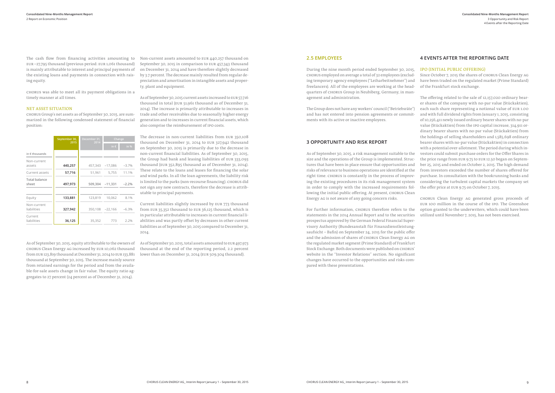The cash flow from financing activities amounting to EUR –27,795 thousand (previous period: EUR 1,061 thousand) is mainly attributable to interest and principal payments of the existing loans and payments in connection with raising equity.

CHORUS was able to meet all its payment obligations in a timely manner at all times.

#### NET ASSET SITUATION

CHORUS Group's net assets as of September 30, 2015, are summarized in the following condensed statement of financial position:

|                               | September 30,<br>2015 | December 31,<br>2014 |               | Change  |  |
|-------------------------------|-----------------------|----------------------|---------------|---------|--|
|                               |                       |                      | in $\epsilon$ | in $%$  |  |
| in $\epsilon$ thousands       |                       |                      |               |         |  |
| Non-current<br>assets         | 440,257               | 457,343              | $-17,086$     | $-3.7%$ |  |
| Current assets                | 57,716                | 51,961               | 5,755         | 11.1%   |  |
| <b>Total balance</b><br>sheet | 497,973               | 509,304              | $-11,331$     | $-2.2%$ |  |
| Equity                        | 133,881               | 123,819              | 10,062        | 8.1%    |  |
| Non-current<br>liabilities    | 327,942               | 350,108              | $-22,166$     | $-6.3%$ |  |
| Current<br>liabilities        | 36,125                | 35,352               | 773           | 2.2%    |  |

As of September 30, 2015, equity attributable to the owners of CHORUS Clean Energy AG increased by EUR 10,062 thousand from EUR 123,819 thousand at December 31, 2014 to EUR 133,881 thousand at September 30, 2015. The increase mainly source from retained earnings for the period and from the available-for-sale assets change in fair value. The equity ratio aggregates to 27 percent (24 percent as of December 31, 2014).

Non-current assets amounted to EUR 440,257 thousand on September 30, 2015 in comparison to EUR 457,343 thousand on December 31, 2014 and have therefore slightly decreased by 3.7 percent. The decrease mainly resulted from regular depreciation and amortisation in intangible assets and property, plant and equipment.

As of September 30, 2015 current assets increased to EUR 57,716 thousand in total (EUR 51,961 thousand as of December 31, 2014). The increase is primarily attributable to increases in trade and other receivables due to seasonally higher energy generation and to increases in current financial assets, which also comprise the reimbursement of IPO costs.

The decrease in non-current liabilities from EUR 350,108 thousand on December 31, 2014 to EUR 327,942 thousand on September 30, 2015 is primarily due to the decrease in non-current financial liabilities. As of September 30, 2015, the Group had bank and leasing liabilities of EUR 333,093 thousand (EUR 352,895 thousand as of December 31, 2014). These relate to the loans and leases for financing the solar and wind parks. In all the loan agreements, the liability risk is limited to the parks (non-recourse financing). CHORUS did not sign any new contracts, therefore the decrease is attributable to principal payments.

Current liabilities slightly increased by EUR 773 thousand from EUR 35,352 thousand to EUR 36,125 thousand, which is in particular attributable to increases in current financial liabilities and was partly offset by decreases in other current liabilities as of September 30, 2015 compared to December 31, 2014.

As of September 30, 2015, total assets amounted to EUR 497,973 thousand at the end of the reporting period, 2.2 percent lower than on December 31, 2014 (EUR 509,304 thousand).

#### **2.5 EMPLOYEES**

During the nine month period ended September 30, 2015, CHORUS employed on average a total of 32 employees (excluding temporary agency employees ("Leiharbeitnehmer") and freelancers). All of the employees are working at the headquarters of CHORUS Group in Neubiberg, Germany, in man-Since October 7, 2015 the shares of CHORUS Clean Energy AG have been traded on the regulated market (Prime Standard) of the Frankfurt stock exchange.

lowing the initial public offering. At present, CHORUS Clean Energy AG is not aware of any going concern risks.

For further information, CHORUS therefore refers to the statements in the 2014 Annual Report and to the securities prospectus approved by the German Federal Financial Supervisory Authority (Bundesanstalt für Finanzdienstleistungsaufsicht – Bafin) on September 24, 2015 for the public offer and the admission of shares of CHORUS Clean Energy AG on the regulated market segment (Prime Standard) of Frankfurt Stock Exchange. Both documents were published on CHORUS' website in the "Investor Relations" section. No significant changes have occurred to the opportunities and risks compared with these presentations.

agement and administration. The Group does not have any workers' council ("Betriebsräte") and has not entered into pension agreements or commitments with its active or inactive employees. **3 OPPORTUNITY AND RISK REPORT** As of September 30, 2015, a risk management suitable to the size and the operations of the Group is implemented. Structures that have been in place ensure that opportunities and risks of relevance to business operations are identified at the right time. CHORUS is constantly in the process of improving the existing procedures in its risk management system in order to comply with the increased requirements fol-The offering related to the sale of 12,157,020 ordinary bearer shares of the company with no-par value (Stückaktien), each such share representing a notional value of EUR 1.00 and with full dividend rights from January 1, 2015, consisting of 10,256,411 newly issued ordinary bearer shares with no-par value (Stückaktien) from the IPO capital increase, 314,911 ordinary bearer shares with no-par value (Stückaktien) from the holdings of selling shareholders and 1,585,698 ordinary bearer shares with no-par value (Stückaktien) in connection with a potential over-allotment. The period during which investors could submit purchase orders for the Offer Shares in the price range from EUR 9.75 to EUR 12.50 began on September 25, 2015 and ended on October 2, 2015. The high demand from investors exceeded the number of shares offered for purchase. In consultation with the bookrunning banks and considering the turbulent capital markets the company set the offer price at EUR 9.75 on October 7, 2015.

### **4 EVENTS AFTER THE REPORTING DATE**

#### IPO (INITIAL PUBLIC OFFERING)

CHORUS Clean Energy AG generated gross proceeds of EUR 100 million in the course of the IPO. The Greenshoe option granted to the underwriters, which could have been utilized until November 7, 2015, has not been exercised.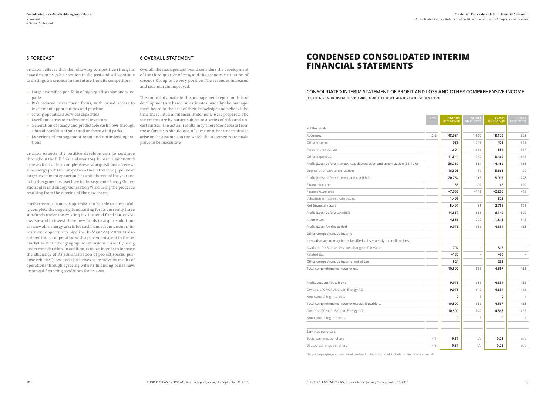Consolidated interim Statement of Profit and Loss and other Comprehensive Income

### **5 FORECAST**

CHORUS believes that the following competitive strengths have driven its value creation in the past and will continue to distinguish CHORUS in the future from its competitors:

- Large diversified portfolio of high quality solar and wind parks
- Risk-reduced investment focus, with broad access to investment opportunities and pipeline
- Strong operations services capacities
- Excellent access to professional investors
- Generation of steady and predictable cash flows through a broad portfolio of solar and onshore wind parks
- Experienced management team and optimized operations

CHORUS expects the positive developments to continue throughout the full financial year 2015. In particular CHORUS believes to be able to complete several acquisitions of renewable energy parks in Europe from their attractive pipeline of target investment opportunities until the end of the year and to further grow the asset base in the segments Energy Generation Solar and Energy Generation Wind using the proceeds resulting from the offering of the new shares.

Furthermore, CHORUS is optimistic to be able to successfully complete the ongoing fund raising for its currently three sub-funds under the existing institutional fund CHORUS SI-CAV-SIF and to invest these new funds to acquire additional renewable energy assets for such funds from CHORUS' investment opportunity pipeline. In May 2015, CHORUS also entered into a cooperation with a placement agent in the UK market, with further geographic extensions currently being under consideration. In addition, CHORUS intends to increase the efficiency of its administration of project special purpose vehicles (SPVs) and also strives to improve its results of operations through agreeing with its financing banks new, improved financing conditions for its SPVs.

#### **6 OVERALL STATEMENT**

Overall, the management board considers the development of the third quarter of 2015 and the economic situation of CHORUS Group to be very positive. The revenues increased and EBIT margin improved.

The comments made in this management report on future development are based on estimates made by the management board to the best of their knowledge and belief at the time these interim financial statements were prepared. The statements are by nature subject to a series of risks and uncertainties. The actual results may therefore deviate from these forecasts should one of these or other uncertainties arise or the assumptions on which the statements are made prove to be inaccurate.

## **CONDENSED CONSOLIDATED INTERIM FINANCIAL STATEMENTS**

#### **CONSOLIDATED INTERIM STATEMENT OF PROFIT AND LOSS AND OTHER COMPREHENSIVE INCOME FOR THE NINE MONTHS ENDED SEPTEMBER 30 AND THE THREE MONTHS ENDED SEPTEMBER 30**

|                                                                            | <b>Note</b> | 9M 2015<br>01/01-09/30 | 9M 2014<br>01/01-09/30 | Q3 2015<br>07/01-09/30 | Q3 2014<br>07/01-09/30 |
|----------------------------------------------------------------------------|-------------|------------------------|------------------------|------------------------|------------------------|
| in $\epsilon$ thousands                                                    |             |                        |                        |                        |                        |
| Revenues                                                                   | 2.2         | 48,984                 | 1,590                  | 18,129                 | 308                    |
| Other income                                                               |             | 933                    | 1,073                  | 406                    | 615                    |
| Personnel expenses                                                         |             | $-1,604$               | $-1,556$               | $-584$                 | $-567$                 |
| Other expenses                                                             |             | $-11,544$              | $-1,970$               | -3,469                 | $-1,114$               |
| Profit (Loss) before interest, tax, depreciation and amortization (EBITDA) |             | 36,769                 | $-864$                 | 14,482                 | $-758$                 |
| Depreciation and amortization                                              |             | $-16,505$              | $-52$                  | -5,565                 | $-20$                  |
| Profit (Loss) before interest and tax (EBIT)                               |             | 20,264                 | $-916$                 | 8,917                  | $-778$                 |
| Finance income                                                             |             | 133                    | 192                    | 42                     | 190                    |
| Finance expenses                                                           |             | $-7,033$               | $-141$                 | $-2,285$               | $-12$                  |
| Valuation of interest-rate swaps                                           |             | 1,493                  |                        | $-525$                 |                        |
| Net financial result                                                       |             | $-5,407$               | 51                     | -2,768                 | 178                    |
| Profit (Loss) before tax (EBT)                                             |             | 14,857                 | $-865$                 | 6,149                  | $-600$                 |
| Income tax                                                                 |             | $-4,881$               | 229                    | $-1,815$               | 148                    |
| Profit (Loss) for the period                                               |             | 9,976                  | $-636$                 | 4,334                  | $-452$                 |
| Other comprehensive income                                                 |             |                        |                        |                        |                        |
| Items that are or may be reclassified subsequently to profit or loss       |             |                        |                        |                        |                        |
| Available-for-Sale assets- net change in fair value                        |             | 704                    | $\bar{ }$              | 313                    |                        |
| Related tax                                                                |             | $-180$                 |                        | $-80$                  |                        |
| Other comprehensive income, net of tax                                     |             | 524                    |                        | 233                    |                        |
| Total comprehensive income/loss                                            |             | 10,500                 | $-636$                 | 4,567                  | $-452$                 |
| Profit/Loss attributable to                                                |             | 9,976                  | $-636$                 | 4,334                  | $-452$                 |
| Owners of CHORUS Clean Energy AG                                           |             | 9,976                  | $-642$                 | 4,334                  | $-453$                 |
| Non-controlling interests                                                  |             | 0                      | 6                      | 0                      | 1                      |
| Total comprehensive income/loss attributable to                            |             | 10,500                 | $-636$                 | 4,567                  | $-452$                 |
| Owners of CHORUS Clean Energy AG                                           |             | 10,500                 | $-642$                 | 4,567                  | $-453$                 |
| Non-controlling interests                                                  |             | 0                      | 6                      | 0                      | $\mathbf{1}$           |
|                                                                            |             |                        |                        |                        |                        |
| Earnings per share                                                         |             |                        |                        |                        |                        |
| Basic earnings per share                                                   | 4.5         | 0.57                   | n/a                    | 0.25                   | n/a                    |
| Diluted earnings per share                                                 | 4.5         | 0.57                   | n/a                    | 0.25                   | n/a                    |

The accompanying notes are an integral part of these Consolidated Interim Financial Statements.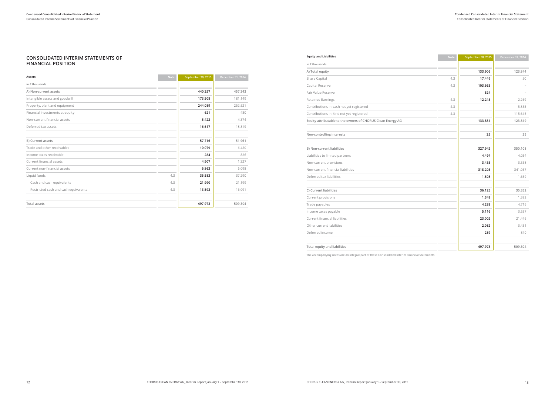#### Consolidated Interim Statements of Financial Position Consolidated Interim Statements of Financial Position **Condensed Consolidated Interim Financial Statement Condensed Consolidated Interim Financial Statement**

#### **CONSOLIDATED INTERIM STATEMENTS OF FINANCIAL POSITION**

| Assets                               | <b>Note</b> | September 30, 2015 | December 31, 2014 |
|--------------------------------------|-------------|--------------------|-------------------|
| in $\epsilon$ thousands              |             |                    |                   |
| A) Non-current assets                |             | 440,257            | 457,343           |
| Intangible assets and goodwill       |             | 173,508            | 181,149           |
| Property, plant and equipment        |             | 244,089            | 252,521           |
| Financial investments at equity      |             | 621                | 480               |
| Non-current financial assets         |             | 5,422              | 4,374             |
| Deferred tax assets                  |             | 16,617             | 18,819            |
| B) Current assets                    |             | 57,716             | 51,961            |
| Trade and other receivables          |             | 10,079             | 6,420             |
| Income taxes receivable              |             | 284                | 826               |
| Current financial assets             |             | 4,907              | 1,327             |
| Current non-financial assets         |             | 6,863              | 6,098             |
| Liquid funds:                        | 4.3         | 35,583             | 37,290            |
| Cash and cash equivalents            | 4.3         | 21,990             | 21,199            |
| Restricted cash and cash equivalents | 4.3         | 13,593             | 16,091            |
| <b>Total assets</b>                  |             | 497,973            | 509,304           |

| <b>Equity and Liabilities</b>                               | <b>Note</b> | September 30, 2015 | December 31, 2014 |
|-------------------------------------------------------------|-------------|--------------------|-------------------|
| in $\epsilon$ thousands                                     |             |                    |                   |
| A) Total equity                                             |             | 133,906            | 123,844           |
| Share Capital                                               | 4.3         | 17,449             | 50                |
| Capital Reserve                                             | 4.3         | 103,663            |                   |
| Fair Value Reserve                                          |             | 524                |                   |
| <b>Retained Earnings</b>                                    | 4.3         | 12,245             | 2,269             |
| Contributions in-cash not yet registered                    | 4.3         |                    | 5,855             |
| Contributions in-kind not yet registered                    | 4.3         |                    | 115,645           |
| Equity attributable to the owners of CHORUS Clean Energy AG |             | 133,881            | 123,819           |
| Non-controlling interests                                   |             | 25                 | 25                |
| B) Non-current liabilities                                  |             | 327,942            | 350,108           |
| Liabilities to limited partners                             |             | 4,494              | 4,034             |
| Non-current provisions                                      |             | 3,435              | 3,358             |
| Non-current financial liabilities                           |             | 318,205            | 341,057           |
| Deferred tax liabilities                                    |             | 1,808              | 1,659             |
| C) Current liabilities                                      |             | 36,125             | 35,352            |
| Current provisions                                          |             | 1,348              | 1,382             |
| Trade payables                                              |             | 4,288              | 4,716             |
| Income taxes payable                                        |             | 5,116              | 3,537             |
| Current financial liabilities                               |             | 23,002             | 21,446            |
| Other current liabilities                                   |             | 2,082              | 3,431             |
| Deferred income                                             |             | 289                | 840               |
| <b>Total equity and liabilities</b>                         |             | 497,973            | 509,304           |

The accompanying notes are an integral part of these Consolidated Interim Financial Statements.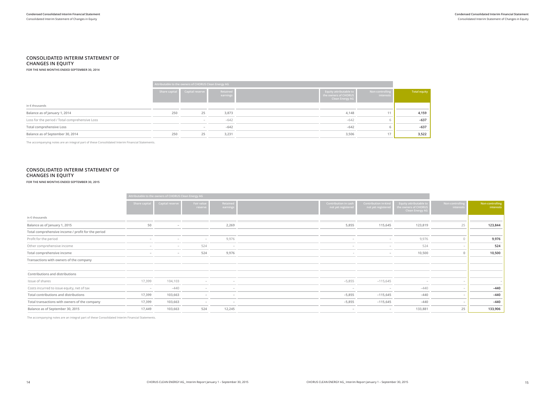#### **CONSOLIDATED INTERIM STATEMENT OF CHANGES IN EQUITY**

**FOR THE NINE MONTHS ENDED SEPTEMBER 30, 2014**

|                                                |               | Attributable to the owners of CHORUS Clean Energy AG |                      |  |                                                                                 |                              |              |  |  |
|------------------------------------------------|---------------|------------------------------------------------------|----------------------|--|---------------------------------------------------------------------------------|------------------------------|--------------|--|--|
|                                                | Share capital | Capital reserve                                      | Retained<br>earnings |  | <b>Equity attributable to</b><br>the owners of CHORUS<br><b>Clean Energy AG</b> | Non-controlling<br>interests | Total equity |  |  |
| in $\epsilon$ thousands                        |               |                                                      |                      |  |                                                                                 |                              |              |  |  |
| Balance as of January 1, 2014                  | 250           | 25                                                   | 3,873                |  | 4,148                                                                           |                              | 4,159        |  |  |
| Loss for the period / Total comprehensive Loss |               | $\overline{\phantom{a}}$                             | $-642$               |  | $-642$                                                                          |                              | $-637$       |  |  |
| Total comprehensive Loss                       |               |                                                      | $-642$               |  | $-642$                                                                          |                              | $-637$       |  |  |
| Balance as of September 30, 2014               | 250           | 25                                                   | 3,231                |  | 3,506                                                                           |                              | 3,522        |  |  |

The accompanying notes are an integral part of these Consolidated Interim Financial Statements.

### **CONSOLIDATED INTERIM STATEMENT OF CHANGES IN EQUITY**

**FOR THE NINE MONTHS ENDED SEPTEMBER 30, 2015**

|                                                    |               | Attributable to the owners of CHORUS Clean Energy AG |                          |                      |                                                  |                                                  |                                                                               |                             |                              |
|----------------------------------------------------|---------------|------------------------------------------------------|--------------------------|----------------------|--------------------------------------------------|--------------------------------------------------|-------------------------------------------------------------------------------|-----------------------------|------------------------------|
|                                                    | Share capital | Capital reserve                                      | Fair value<br>reserve    | Retained<br>earning: | <b>Contribution in cas</b><br>not yet registered | <b>Contribution in-kin</b><br>not yet registered | <b>Equity attributable to</b><br>e owners of CHORUS<br><b>Clean Energy AG</b> | Non-controllin<br>interests | Non-controlling<br>interests |
| in $\epsilon$ thousands                            |               |                                                      |                          |                      |                                                  |                                                  |                                                                               |                             |                              |
| Balance as of January 1, 2015                      | 50            |                                                      |                          | 2,269                |                                                  | 5,855<br>115,645                                 | 123,819                                                                       | 25                          | 123,844                      |
| Total comprehensive income / profit for the period |               |                                                      |                          |                      |                                                  |                                                  |                                                                               |                             |                              |
| Profit for the period                              |               |                                                      | $ \,$                    | 9,976                |                                                  | $\overline{a}$                                   | 9,976                                                                         |                             | 9,976                        |
| Other comprehensive income                         |               | -                                                    | 524                      | $-$                  |                                                  |                                                  | 524                                                                           |                             | 524                          |
| Total comprehensive income                         |               |                                                      | 524                      | 9,976                |                                                  | $\sim$                                           | 10,500                                                                        |                             | 10,500                       |
| Transactions with owners of the company            |               |                                                      |                          |                      |                                                  |                                                  |                                                                               |                             |                              |
| Contributions and distributions                    |               |                                                      |                          |                      |                                                  |                                                  |                                                                               |                             |                              |
| Issue of shares                                    | 17,399        | 104,103                                              |                          |                      |                                                  | $-5,855$<br>$-115,645$                           |                                                                               |                             |                              |
| Costs incurred to issue equity, net of tax         |               | $-440$                                               | $\overline{\phantom{a}}$ |                      |                                                  |                                                  | $-440$                                                                        |                             | $-440$                       |
| Total contributions and distributions              | 17,399        | 103,663                                              |                          |                      |                                                  | $-5,855$<br>$-115,645$                           | $-440$                                                                        |                             | $-440$                       |
| Total transactions with owners of the company      | 17,399        | 103,663                                              | $\overline{\phantom{0}}$ |                      |                                                  | $-5,855$<br>$-115,645$                           | $-440$                                                                        |                             | $-440$                       |
| Balance as of September 30, 2015                   | 17,449        | 103,663                                              | 524                      | 12,245               |                                                  |                                                  | 133,881                                                                       | 25                          | 133,906                      |

The accompanying notes are an integral part of these Consolidated Interim Financial Statements.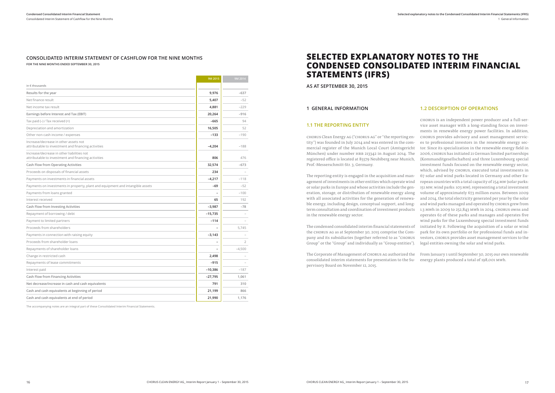#### **CONSOLIDATED INTERIM STATEMENT OF CASHFLOW FOR THE NINE MONTHS FOR THE NINE MONTHS ENDED SEPTEMBER 30, 2015**

|                                                                                                   | 9M 2015   | 9M 2014        |
|---------------------------------------------------------------------------------------------------|-----------|----------------|
| in $\epsilon$ thousands                                                                           |           |                |
| Results for the year                                                                              | 9,976     | $-637$         |
| Net finance result                                                                                | 5,407     | $-52$          |
| Net income tax result                                                                             | 4,881     | $-229$         |
| Earnings before Interest and Tax (EBIT)                                                           | 20,264    | $-916$         |
| Tax paid $(-)$ / Tax received $(+)$                                                               | $-665$    | 94             |
| Depreciation and amortization                                                                     | 16,505    | 52             |
| Other non-cash income / expenses                                                                  | $-133$    | $-190$         |
| Increase/decrease in other assets not<br>attributable to investment and financing activities      | $-4,204$  | $-188$         |
| Increase/decrease in other liabilities not<br>attributable to investment and financing activities | 806       | 476            |
| Cash Flow from Operating Activities                                                               | 32,574    | $-673$         |
| Proceeds on disposals of financial assets                                                         | 234       |                |
| Payments on investments in financial assets                                                       | $-4,217$  | $-118$         |
| Payments on investments in property, plant and equipment and intangible assets                    | -69       | $-52$          |
| Payments from loans granted                                                                       |           | $-100$         |
| Interest received                                                                                 | 65        | 192            |
| Cash Flow from Investing Activities                                                               | $-3,987$  | $-78$          |
| Repayment of borrowing / debt                                                                     | $-15,735$ |                |
| Payment to limited partners                                                                       | $-114$    |                |
| Proceeds from shareholders                                                                        |           | 5.745          |
| Payments in connection with raising equity                                                        | $-3,143$  |                |
| Proceeds from shareholder loans                                                                   | ۰         | $\overline{2}$ |
| Repayments of shareholder loans                                                                   |           | $-4,500$       |
| Change in restricted cash                                                                         | 2,498     |                |
| Repayments of lease commitments                                                                   | $-915$    |                |
| Interest paid                                                                                     | $-10,386$ | $-187$         |
| Cash Flow from Financing Activities                                                               | $-27,795$ | 1,061          |
| Net decrease/increase in cash and cash equivalents                                                | 791       | 310            |
| Cash and cash equivalents at beginning of period                                                  | 21,199    | 866            |
| Cash and cash equivalents at end of period                                                        | 21,990    | 1,176          |

The accompanying notes are an integral part of these Consolidated Interim Financial Statements.

## **SELECTED EXPLANATORY NOTES TO THE CONDENSED CONSOLIDATED INTERIM FINANCIAL STATEMENTS (IFRS)**

**AS AT SEPTEMBER 30, 2015**

#### **1 GENERAL INFORMATION**

### **1.2 DESCRIPTION OF OPERATIONS**

**1.1 THE REPORTING ENTITY** CHORUS Clean Energy AG ("CHORUS AG" or "the reporting entity") was founded in July 2014 and was entered in the commercial register of the Munich Local Court (Amtsgericht München) under number HRB 213342 in August 2014. The registered office is located at 85579 Neubiberg near Munich, Prof.-Messerschmitt-Str. 3, Germany. The reporting entity is engaged in the acquisition and management of investments in other entities which operate wind or solar parks in Europe and whose activities include the generation, storage, or distribution of renewable energy along with all associated activities for the generation of renewable energy, including design, conceptual support, and longterm consultation and coordination of investment products in the renewable energy sector. The condensed consolidated interim financial statements of the CHORUS AG as at September 30, 2015 comprise the Company and its subsidiaries (together referred to as "CHORUS Group" or the "Group" and individually as "Group entities"). CHORUS is an independent power producer and a full-service asset manager with a long-standing focus on investments in renewable energy power facilities. In addition, CHORUS provides advisory and asset management services to professional investors in the renewable energy sector. Since its specialization in the renewable energy field in 2006, CHORUS has initiated 21 German limited partnerships (Kommanditgesellschaften) and three Luxembourg special investment funds focused on the renewable energy sector, which, advised by CHORUS, executed total investments in 67 solar and wind parks located in Germany and other European countries with a total capacity of 254 MW (solar parks: 151 MW; wind parks: 103 MW), representing a total investment volume of approximately 673 million euros. Between 2009 and 2014, the total electricity generated per year by the solar and wind parks managed and operated by CHORUS grew from 1.3 MWh in 2009 to 252,843 MWh in 2014. CHORUS owns and operates 62 of these parks and manages and operates five wind parks for the Luxembourg special investment funds initiated by it. Following the acquisition of a solar or wind park for its own portfolio or for professional funds and investors, CHORUS provides asset management services to the legal entities owning the solar and wind parks.

The Corporate of Management of CHORUS AG authorized the consolidated interim statements for presentation to the Su-energy plants produced a total of 198,001 MWh.pervisory Board on November 12, 2015. From January 1 until September 30, 2015 our own renewable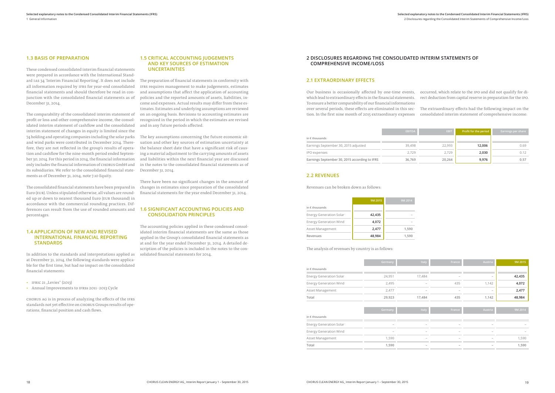#### **1.3 BASIS OF PREPARATION**

These condensed consolidated interim financial statements were prepared in accordance with the International Standard IAS 34 'Interim Financial Reporting'. It does not include all information required by IFRS for year-end consolidated financial statements and should therefore be read in conjunction with the consolidated financial statements as of December 31, 2014.

- IFRIC 21 "Levies"  $(2013)$
- Annual Improvements to IFRSs 2011- 2013 Cycle

The comparability of the consolidated interim statement of profit or loss and other comprehensive income, the consolidated interim statement of cashflow and the consolidated interim statement of changes in equity is limited since the 74 holding and operating companies including the solar parks and wind parks were contributed in December 2014. Therefore, they are not reflected in the group's results of operation and cashflow for the nine-month period ended September 30, 2014. For this period in 2014, the financial information only includes the financial information of CHORUS GmbH and its subsidiaries. We refer to the consolidated financial statements as of December 31, 2014, note 7.10 Equity.

The consolidated financial statements have been prepared in Euro (EUR). Unless stipulated otherwise, all values are rounded up or down to nearest thousand Euro (EUR thousand) in accordance with the commercial rounding practices. Differences can result from the use of rounded amounts and percentages.

#### **1.4 APPLICATION OF NEW AND REVISED INTERNATIONAL FINANCIAL REPORTING STANDARDS**

In addition to the standards and interpretations applied as at December 31, 2014, the following standards were applicable for the first time, but had no impact on the consolidated financial statements:

CHORUS AG is in process of analyzing the effects of the IFRS standards not yet effective on CHORUS Groups results of operations, financial position and cash flows.

#### **1.5 CRITICAL ACCOUNTING JUDGEMENTS AND KEY SOURCES OF ESTIMATION UNCERTAINTIES**

The preparation of financial statements in conformity with IFRS requires management to make judgements, estimates and assumptions that affect the application of accounting policies and the reported amounts of assets, liabilities, income and expenses. Actual results may differ from these estimates. Estimates and underlying assumptions are reviewed on an ongoing basis. Revisions to accounting estimates are recognized in the period in which the estimates are revised and in any future periods affected.

The key assumptions concerning the future economic situation and other key sources of estimation uncertainty at the balance sheet date that have a significant risk of causing a material adjustment to the carrying amounts of assets and liabilities within the next financial year are discussed in the notes to the consolidated financial statements as of December 31, 2014.

There have been no significant changes in the amount of changes in estimates since preparation of the consolidated financial statements for the year ended December 31, 2014.

#### **1.6 SIGNIFICANT ACCOUNTING POLICIES AND CONSOLIDATION PRINCIPLES**

The accounting policies applied in these condensed consolidated interim financial statements are the same as those applied in the Group's consolidated financial statements as at and for the year ended December 31, 2014. A detailed description of the policies is included in the notes to the consolidated financial statements for 2014.

### **2.1 EXTRAORDINARY EFFECTS**

Our business is occasionally affected by one-time events, which lead to extraordinary effects in the financial statements. To ensure a better comparability of our financial informations over several periods, these effects are eliminated in this section. In the first nine month of 2015 extraordinary expenses occurred, which relate to the IPO and did not qualify for direct deduction from capital reserve in preparation for the IPO. The extraordinary effects had the following impact on the consolidated interim statement of comprehensive income:

### **2 DISCLOSURES REGARDING THE CONSOLIDATED INTERIM STATEMENTS OF COMPREHENSIVE INCOME/LOSS**

|                                               | <b>EBITDA</b> | <b>EBIT</b> | Profit for the period | <b>Earnings per share</b> |
|-----------------------------------------------|---------------|-------------|-----------------------|---------------------------|
| in $\epsilon$ thousands                       |               |             |                       |                           |
| Earnings September 30, 2015 adjusted          | 39,498        | 22,993      | 12,006                | 0.69                      |
| IPO expenses                                  | 2.729         | 2,729       | 2,030                 | 0.12                      |
| Earnings September 30, 2015 according to IFRS | 36.769        | 20.264      | 9,976                 | 0.57                      |

### **2.2 REVENUES**

Revenues can be broken down as follows:

|                                | 9M 2015 | 9M 2014 |
|--------------------------------|---------|---------|
| in $\epsilon$ thousands        |         |         |
| <b>Energy Generation Solar</b> | 42,435  |         |
| <b>Energy Generation Wind</b>  | 4,072   |         |
| Asset Management               | 2,477   | 1,590   |
| Revenues                       | 48,984  | 1,590   |

The analysis of revenues by country is as follows:

|                                | Germany | Italy  | France | Austria                  | 9M 2015 |
|--------------------------------|---------|--------|--------|--------------------------|---------|
| in $\epsilon$ thousands        |         |        |        |                          |         |
| <b>Energy Generation Solar</b> | 24,951  | 17,484 |        |                          | 42,435  |
| <b>Energy Generation Wind</b>  | 2,495   |        | 435    | 1,142                    | 4,072   |
| Asset Management               | 2,477   |        |        | $\overline{\phantom{a}}$ | 2,477   |
| Total                          | 29,923  | 17,484 | 435    | 1,142                    | 48,984  |
|                                |         |        |        |                          |         |
|                                | Germany | Italy  | France | Austria                  | 9M 2014 |
| in $\epsilon$ thousands        |         |        |        |                          |         |
| <b>Energy Generation Solar</b> | ۰       | -      | -      |                          |         |
| <b>Energy Generation Wind</b>  |         |        |        |                          |         |
| Asset Management               | 1,590   |        |        |                          | 1,590   |
| Total                          | 1,590   |        |        |                          | 1,590   |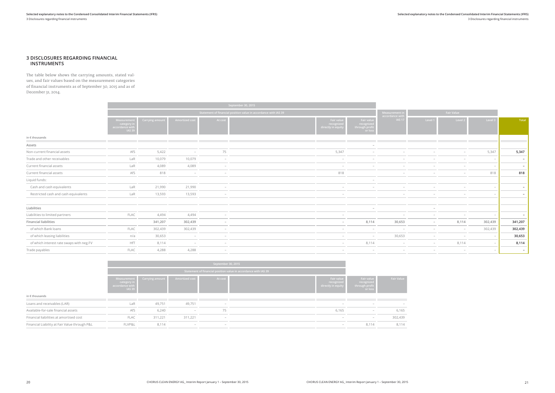**Selected explanatory notes to the Condensed Consolidated Interim Financial Statements (IFRS)** 3 Disclosures regarding financial instruments

#### **3 DISCLOSURES REGARDING FINANCIAL INSTRUMENTS**

The table below shows the carrying amounts, stated values, and fair values based on the measurement categories of financial instruments as of September 30, 2015 and as of December 31, 2014.

|              |         | Fair value |         |
|--------------|---------|------------|---------|
| <b>Total</b> | Level 3 | Level 2    | Level 1 |
|              |         |            |         |
|              |         |            |         |
| 5,347        | 5,347   |            |         |
|              |         |            |         |
|              |         |            |         |
| 818          | 818     |            |         |
|              |         |            |         |
|              |         |            |         |
|              |         |            |         |
|              |         |            |         |
|              |         |            | -       |
|              |         |            |         |
| 341,207      | 302,439 | 8,114      |         |
| 302,439      | 302,439 |            |         |
| 30,653       |         |            |         |
| 8,114        |         | 8,114      |         |
|              |         |            |         |

|                                          |                                                               |                              |                          |                          | September 30, 2015                                              |                                              |                                                    |                                                     |         |                          |                          |                          |
|------------------------------------------|---------------------------------------------------------------|------------------------------|--------------------------|--------------------------|-----------------------------------------------------------------|----------------------------------------------|----------------------------------------------------|-----------------------------------------------------|---------|--------------------------|--------------------------|--------------------------|
|                                          |                                                               |                              |                          |                          | Statement of financial position value in accordance with IAS 39 |                                              |                                                    | <b>Fair Value</b><br>Measurement i<br>accordance wi |         |                          |                          |                          |
|                                          | Measureme<br>category i<br>accordance wit<br>IAS <sub>3</sub> | Carrying amount <b>paint</b> | Amortized cost           | At cost                  |                                                                 | Fair value<br>recognize<br>lirectly in equit | Fair value<br>recognize<br>through profit<br>or Ic | <b>IAS 17</b>                                       | Level 1 | Level 2                  | Level 3                  | Tota                     |
| in $\epsilon$ thousands                  |                                                               |                              |                          |                          |                                                                 |                                              |                                                    |                                                     |         |                          |                          |                          |
| Assets                                   |                                                               |                              |                          |                          |                                                                 |                                              |                                                    |                                                     |         |                          |                          |                          |
| Non-current financial assets             | AfS                                                           | 5,422                        |                          | 75                       |                                                                 | 5,347                                        |                                                    |                                                     |         |                          | 5,347                    | 5,347                    |
| Trade and other receivables              | LaR                                                           | 10,079                       | 10,079                   | $\overline{\phantom{a}}$ |                                                                 | $\overline{\phantom{a}}$                     |                                                    |                                                     |         | $\overline{\phantom{a}}$ | $\overline{\phantom{a}}$ | $\overline{\phantom{a}}$ |
| Current financial assets                 | LaR                                                           | 4,089                        | 4,089                    | $\overline{\phantom{a}}$ |                                                                 | $\overline{\phantom{a}}$                     |                                                    |                                                     |         | $\overline{\phantom{a}}$ | $\overline{\phantom{a}}$ | $\overline{\phantom{a}}$ |
| Current financial assets                 | AfS                                                           | 818                          | $\overline{\phantom{a}}$ |                          |                                                                 | 818                                          |                                                    |                                                     |         | $\overline{\phantom{0}}$ | 818                      | 818                      |
| Liquid funds:                            |                                                               |                              |                          |                          |                                                                 |                                              |                                                    |                                                     |         |                          |                          |                          |
| Cash and cash equivalents                | LaR                                                           | 21,990                       | 21,990                   | $\overline{\phantom{a}}$ |                                                                 |                                              |                                                    |                                                     |         | $\overline{\phantom{a}}$ |                          | $\overline{\phantom{0}}$ |
| Restricted cash and cash equivalents     | LaR                                                           | 13,593                       | 13,593                   | $\sim$                   |                                                                 | $\sim$                                       |                                                    |                                                     |         |                          |                          |                          |
| Liabilities                              |                                                               |                              |                          |                          |                                                                 |                                              |                                                    |                                                     |         |                          |                          |                          |
| Liabilities to limited partners          | FLAC                                                          | 4,494                        | 4,494                    | $\overline{\phantom{a}}$ |                                                                 | $\sim$                                       |                                                    | $\sim$                                              |         | $\overline{\phantom{a}}$ |                          | $\sim$                   |
| <b>Financial liabilities</b>             |                                                               | 341,207                      | 302,439                  | $\overline{\phantom{0}}$ |                                                                 | $\overline{\phantom{0}}$                     | 8,114                                              | 30,653                                              | $\sim$  | 8,114                    | 302,439                  | 341,207                  |
| of which Bank loans                      | <b>FLAC</b>                                                   | 302,439                      | 302,439                  |                          |                                                                 |                                              | $-$                                                | $\overline{\phantom{a}}$                            |         | $\overline{\phantom{a}}$ | 302,439                  | 302,439                  |
| of which leasing liabilities             | n/a                                                           | 30,653                       | $\sim$                   |                          |                                                                 | $\overline{\phantom{a}}$                     | $\sim$                                             | 30,653                                              | $\sim$  | $\overline{\phantom{a}}$ |                          | 30,653                   |
| of which interest rate swaps with neg.FV | HfT                                                           | 8,114                        |                          |                          |                                                                 | $-$                                          | 8,114                                              |                                                     |         | 8,114                    |                          | 8,114                    |
| Trade payables                           | FLAC                                                          | 4,288                        | 4,288                    | $-$                      |                                                                 | $-$                                          | $\overline{\phantom{a}}$                           |                                                     |         | $\overline{\phantom{0}}$ |                          | $\overline{\phantom{a}}$ |

|                                               |                                                                | September 30, 2015 |                                 |                          |                                                                 |                                                       |                                                       |                   |
|-----------------------------------------------|----------------------------------------------------------------|--------------------|---------------------------------|--------------------------|-----------------------------------------------------------------|-------------------------------------------------------|-------------------------------------------------------|-------------------|
|                                               |                                                                |                    |                                 |                          | Statement of financial position value in accordance with IAS 39 |                                                       |                                                       |                   |
|                                               | Measurement<br>category in<br>accordance with<br><b>IAS 39</b> | Carrying amount    | Amortized cost                  | At cost                  |                                                                 | <b>Fair value</b><br>recognized<br>directly in equity | Fair value<br>recognized<br>through profit<br>or loss | <b>Fair Value</b> |
| in $\epsilon$ thousands                       |                                                                |                    |                                 |                          |                                                                 |                                                       |                                                       |                   |
| Loans and receivables (LAR)                   | LaR                                                            | 49,751             | 49,751                          | $\overline{\phantom{a}}$ |                                                                 | $\overline{\phantom{a}}$                              | $\overline{\phantom{a}}$                              |                   |
| Available-for-sale financial assets           | AfS                                                            | 6,240              | $\hspace{0.1mm}-\hspace{0.1mm}$ | 75                       |                                                                 | 6,165                                                 | $\overline{\phantom{a}}$                              | 6,165             |
| Financial liabilities at amortised cost       | <b>FLAC</b>                                                    | 311,221            | 311,221                         | $\overline{\phantom{a}}$ |                                                                 | $\overline{\phantom{a}}$                              | $-$                                                   | 302,439           |
| Financial Liability at Fair Value through P&L | FLVP&L                                                         | 8,114              | $\overline{\phantom{0}}$        | $\overline{\phantom{a}}$ |                                                                 | $\overline{\phantom{a}}$                              | 8,114                                                 | 8,114             |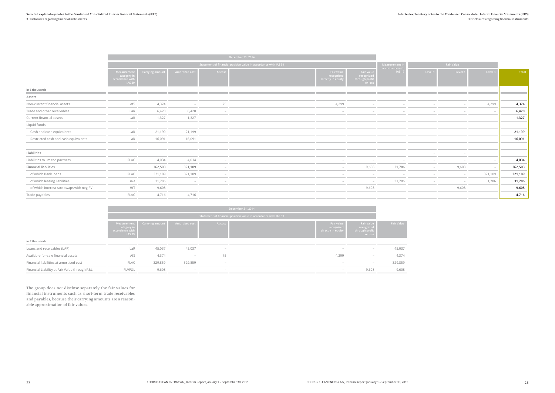#### **Selected explanatory notes to the Condensed Consolidated Interim Financial Statements (IFRS)** 3 Disclosures regarding financial instruments

| Selected explan |  |
|-----------------|--|

**Selected explanatory notes to the Condensed Consolidated Interim Financial Statements (IFRS)** 3 Disclosures regarding financial instruments

|              |         | <b>Fair Value</b> |         |
|--------------|---------|-------------------|---------|
| <b>Total</b> | Level 3 | Level 2           | Level 1 |
|              |         |                   |         |
| 4,374        | 4,299   |                   |         |
| 6,420        |         |                   |         |
| 1,327        |         |                   |         |
|              |         |                   |         |
| 21,199       |         |                   |         |
| 16,091       |         |                   |         |
|              |         |                   |         |
|              |         |                   |         |
| 4,034        |         |                   |         |
| 362,503      |         | 9,608             |         |
| 321,109      | 321,109 |                   |         |
| 31,786       | 31,786  |                   |         |
| 9,608        |         | 9,608             |         |
| 4,716        |         |                   |         |

|                                          |                                                              |                        |                                 |                                 | December 31, 2014                                               |                                                |                                                  |                                 |         |                                 |                                 |         |
|------------------------------------------|--------------------------------------------------------------|------------------------|---------------------------------|---------------------------------|-----------------------------------------------------------------|------------------------------------------------|--------------------------------------------------|---------------------------------|---------|---------------------------------|---------------------------------|---------|
|                                          |                                                              |                        |                                 |                                 | Statement of financial position value in accordance with IAS 39 |                                                |                                                  | <b>Measurement in</b>           |         | <b>Fair Value</b>               |                                 |         |
|                                          | Measuremer<br>category i<br>accordance with<br><b>IAS 39</b> | <b>Carrying amount</b> | Amortized cos                   | At cost                         |                                                                 | Fair value<br>recognized<br>directly in equity | Fair valu<br>recognize<br>through prof<br>or los | accordance wit<br><b>IAS 17</b> | Level 1 | Level 2                         | Level 3                         | Tota    |
| in $\epsilon$ thousands                  |                                                              |                        |                                 |                                 |                                                                 |                                                |                                                  |                                 |         |                                 |                                 |         |
| Assets                                   |                                                              |                        |                                 |                                 |                                                                 |                                                |                                                  |                                 |         |                                 |                                 |         |
| Non-current financial assets             | AfS                                                          | 4,374                  | $\sim$                          | 75                              |                                                                 | 4,299                                          |                                                  |                                 |         |                                 | 4,299                           | 4,374   |
| Trade and other receivables              | LaR                                                          | 6,420                  | 6,420                           | $\overline{\phantom{a}}$        |                                                                 |                                                |                                                  |                                 |         |                                 | $\overline{\phantom{a}}$        | 6,420   |
| Current financial assets                 | LaR                                                          | 1,327                  | 1,327                           | $\hspace{0.1mm}-\hspace{0.1mm}$ |                                                                 |                                                |                                                  |                                 |         |                                 | $\overline{\phantom{a}}$        | 1,327   |
| Liquid funds:                            |                                                              |                        |                                 |                                 |                                                                 |                                                |                                                  |                                 |         |                                 |                                 |         |
| Cash and cash equivalents                | LaR                                                          | 21,199                 | 21,199                          | $\sim$                          |                                                                 |                                                |                                                  |                                 |         |                                 | $\sim$                          | 21,199  |
| Restricted cash and cash equivalents     | LaR                                                          | 16,091                 | 16,091                          |                                 |                                                                 |                                                |                                                  |                                 |         |                                 |                                 | 16,091  |
| Liabilities                              |                                                              |                        |                                 |                                 |                                                                 |                                                |                                                  |                                 |         |                                 |                                 |         |
| Liabilities to limited partners          | FLAC                                                         | 4,034                  | 4,034                           |                                 |                                                                 |                                                |                                                  |                                 |         |                                 | $\hspace{0.1mm}-\hspace{0.1mm}$ | 4,034   |
| <b>Financial liabilities</b>             |                                                              | 362,503                | 321,109                         | $\overline{\phantom{a}}$        |                                                                 |                                                | 9,608                                            | 31,786                          | $\sim$  | 9,608                           | $\overline{\phantom{a}}$        | 362,503 |
| of which Bank loans                      | FLAC                                                         | 321,109                | 321,109                         | $\overline{\phantom{a}}$        |                                                                 |                                                | $\overline{\phantom{a}}$                         |                                 |         | $\hspace{0.1mm}-\hspace{0.1mm}$ | 321,109                         | 321,109 |
| of which leasing liabilities             | n/a                                                          | 31,786                 | $\hspace{0.1mm}-\hspace{0.1mm}$ | $\overline{\phantom{a}}$        |                                                                 | $\overline{\phantom{a}}$                       | $-$                                              | 31,786                          | $\sim$  |                                 | 31,786                          | 31,786  |
| of which interest rate swaps with neg.FV | <b>HfT</b>                                                   | 9,608                  | $\sim$                          | $\overline{\phantom{a}}$        |                                                                 | $\overline{\phantom{a}}$                       | 9,608                                            | $\overline{\phantom{a}}$        | $\sim$  | 9,608                           | $\sim$                          | 9,608   |
| Trade payables                           | <b>FLAC</b>                                                  | 4,716                  | 4,716                           | $\overline{\phantom{a}}$        |                                                                 |                                                | $\overline{\phantom{a}}$                         |                                 |         | $\overline{\phantom{a}}$        | $\overline{\phantom{a}}$        | 4,716   |

|                                               | December 31, 2014                                              |                        |                                 |                          |                                                                 |                                                |                                                       |                   |
|-----------------------------------------------|----------------------------------------------------------------|------------------------|---------------------------------|--------------------------|-----------------------------------------------------------------|------------------------------------------------|-------------------------------------------------------|-------------------|
|                                               |                                                                |                        |                                 |                          | Statement of financial position value in accordance with IAS 39 |                                                |                                                       |                   |
|                                               | Measurement<br>category ir<br>accordance with<br><b>IAS 39</b> | <b>Carrying amount</b> | Amortized cost                  | At cost                  |                                                                 | Fair value<br>recognized<br>directly in equity | Fair value<br>recognized<br>through profit<br>or loss | <b>Fair Value</b> |
| in $\epsilon$ thousands                       |                                                                |                        |                                 |                          |                                                                 |                                                |                                                       |                   |
| Loans and receivables (LAR)                   | LaR                                                            | 45,037                 | 45,037                          | $\overline{\phantom{a}}$ |                                                                 |                                                | $-$                                                   | 45,037            |
| Available-for-sale financial assets           | AfS                                                            | 4,374                  | $\hspace{0.1mm}-\hspace{0.1mm}$ | 75                       |                                                                 | 4,299                                          | $\overline{\phantom{a}}$                              | 4,374             |
| Financial liabilities at amortised cost       | <b>FLAC</b>                                                    | 329,859                | 329,859                         | $\sim$                   |                                                                 | $\overline{\phantom{a}}$                       | $-$                                                   | 329,859           |
| Financial Liability at Fair Value through P&L | FLVP&L                                                         | 9,608                  | $\overline{\phantom{a}}$        | $\overline{\phantom{a}}$ |                                                                 | $\overline{\phantom{a}}$                       | 9,608                                                 | 9,608             |

The group does not disclose separately the fair values for financial instruments such as short-term trade receivables and payables, because their carrying amounts are a reasonable approximation of fair values.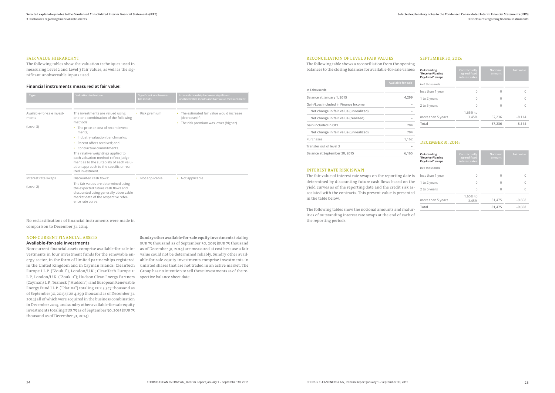#### FAIR VALUE HIERARCHYT

The following tables show the valuation techniques used in measuring Level 2 and Level 3 fair values, as well as the significant unobservable inputs used.

#### **Financial instruments measured at fair value:**

| Type                                             | <b>Valuation technique</b>                                                                                                                                                                                                                                                                                                                                                                                                                   | Significant unobserva-<br>ble inputs | Inter-relationship between significant<br>unobservable inputs and fair value measurement                      |
|--------------------------------------------------|----------------------------------------------------------------------------------------------------------------------------------------------------------------------------------------------------------------------------------------------------------------------------------------------------------------------------------------------------------------------------------------------------------------------------------------------|--------------------------------------|---------------------------------------------------------------------------------------------------------------|
| Available-for-sale invest-<br>ments<br>(Level 3) | The investments are valued using<br>one or a combination of the following<br>methods:<br>• The price or cost of recent invest-<br>ments;<br>• Industry valuation benchmarks;<br>Recent offers received; and<br>$\bullet$<br>Contractual commitments.<br>The relative weightings applied to<br>each valuation method reflect judge-<br>ment as to the suitability of each valu-<br>ation approach to the specific unreal-<br>ized investment. | • Risk premium                       | The estimated fair value would increase<br>(decrease) if:<br>The risk premium was lower (higher)<br>$\bullet$ |
| Interest rate swaps                              | Discounted cash flows:                                                                                                                                                                                                                                                                                                                                                                                                                       | • Not applicable                     | • Not applicable                                                                                              |
| (Level 2)                                        | The fair values are determined using<br>the expected future cash flows and<br>discounted using generally observable<br>market data of the respective refer-<br>ence rate curve.                                                                                                                                                                                                                                                              |                                      |                                                                                                               |

No reclassifications of financial instruments were made in comparison to December 31, 2014.

### NON-CURRENT FINANCIAL ASSETS

#### **Available-for-sale investments**

Non-current financial assets comprise available-for-sale investments in four investment funds for the renewable energy sector, in the form of limited partnerships registered in the United Kingdom and in Cayman Islands: CleanTech Europe I L.P. ("Zouk I"), London/U.K.; CleanTech Europe II L.P., London/U.K. ("Zouk II"); Hudson Clean Energy Partners (Cayman) L.P., Teaneck ("Hudson"); and European Renewable Energy Fund I L.P. ("Platina") totaling EUR 5,347 thousand as of September 30, 2015 (EUR 4,299 thousand as of December 31, 2014) all of which were acquired in the business combination in December 2014, and sundry other available-for-sale equity investments totaling EUR 75 as of September 30, 2015 (EUR 75 thousand as of December 31, 2014).

Sundry other available-for-sale equity investments totaling EUR 75 thousand as of September 30, 2015 (EUR 75 thousand as of December 31, 2014) are measured at cost because a fair value could not be determined reliably. Sundry other available-for-sale equity investments comprise investments in unlisted shares that are not traded in an active market. The Group has no intention to sell these investments as of the respective balance sheet date.

#### RECONCILIATION OF LEVEL 3 FAIR VALUES

The following table shows a reconciliation from the opening balances to the closing balances for available-for-sale values:

|                                       | Available-for-sale |
|---------------------------------------|--------------------|
| in $\epsilon$ thousands               |                    |
| Balance at January 1, 2015            | 4.299              |
| Gain/Loss included in Finance Income  |                    |
| Net change in fair value (unrealized) |                    |
| Net change in fair value (realized)   |                    |
| Gain included in OCI                  | 704                |
| Net change in fair value (unrealized) | 704                |
| Purchases                             | 1.162              |
| Transfer out of level 3               |                    |
| Balance at September 30, 2015         | 6,165              |

#### INTEREST RATE RISK (SWAP)

The fair value of interest rate swaps on the reporting date is determined by discounting future cash flows based on the yield curves as of the reporting date and the credit risk associated with the contracts. This present value is presented in the table below.

The following tables show the notional amounts and maturities of outstanding interest rate swaps at the end of each of the reporting periods.

#### SEPTEMBER 30, 2015:

| Outstanding<br>"Receive-Floating<br>Pay-Fixed" swaps | Contractually<br>agreed fixed<br>interest rates | <b>Notional</b><br>amount | <b>Fair value</b> |
|------------------------------------------------------|-------------------------------------------------|---------------------------|-------------------|
| in $\epsilon$ thousands                              |                                                 |                           |                   |
| less than 1 year                                     | Ω                                               |                           |                   |
| 1 to 2 years                                         | $\cap$                                          | Λ                         |                   |
| 2 to 5 years                                         | U                                               | Λ                         |                   |
|                                                      | 1.65% to                                        |                           |                   |
| more than 5 years                                    | 3.45%                                           | 67,236                    | $-8,114$          |
| Total                                                |                                                 | 67,236                    | $-8,114$          |

### DECEMBER 31, 2014:

| Outstanding<br>"Receive-Floating<br>Pay-Fixed" swaps | Contractually<br>agreed fixed<br>interest rates | <b>Notional</b><br>amount | <b>Fair value</b> |
|------------------------------------------------------|-------------------------------------------------|---------------------------|-------------------|
| in $\epsilon$ thousands                              |                                                 |                           |                   |
| less than 1 year                                     | Ω                                               |                           |                   |
| 1 to 2 years                                         |                                                 |                           |                   |
| 2 to 5 years                                         | $\cap$                                          |                           |                   |
| more than 5 years                                    | 1.65% to<br>3.45%                               | 81.475                    | $-9.608$          |
| Total                                                |                                                 | 81.475                    | $-9.608$          |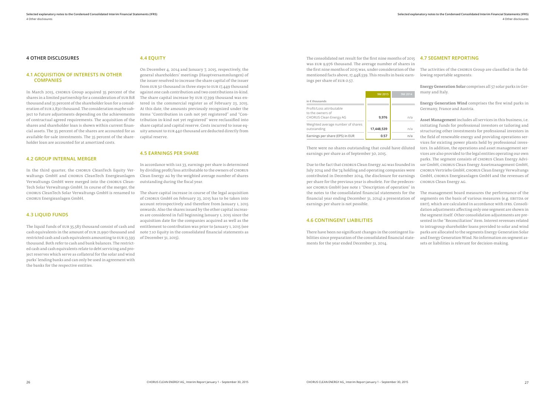#### **4 OTHER DISCLOSURES**

#### **4.1 ACQUISITION OF INTERESTS IN OTHER COMPANIES**

In March 2015, CHORUS Group acquired 35 percent of the shares in a limited partnership for a consideration of EUR 818 thousand and 35 percent of the shareholder loan for a consideration of EUR 2,830 thousand. The consideration maybe subject to future adjustments depending on the achievements of contractual agreed requirements. The acquisition of the shares and shareholder loan is shown within current financial assets. The 35 percent of the shares are accounted for as available-for-sale investments. The 35 percent of the shareholder loan are accounted for at amortized costs.

#### **4.2 GROUP INTERNAL MERGER**

In the third quarter, the CHORUS CleanTech Equity Verwaltungs GmbH and CHORUS CleanTech Energieanlagen Verwaltungs GmbH were merged into the CHORUS Clean-Tech Solar Verwaltungs GmbH. In course of the merger, the CHORUS CleanTech Solar Verwaltungs GmbH is renamed to CHORUS Energieanlagen GmbH.

#### **4.3 LIQUID FUNDS**

The liquid funds of EUR 35,583 thousand consist of cash and cash equivalents in the amount of EUR 21,990 thousand and restricted cash and cash equivalents amounting to EUR 13,593 thousand. Both refer to cash and bank balances. The restricted cash and cash equivalents relate to debt servicing and project reserves which serve as collateral for the solar and wind parks' lending banks and can only be used in agreement with the banks for the respective entities.

#### **4.4 EQUITY**

On December 4, 2014 and January 7, 2015, respectively, the general shareholders' meetings (Hauptversammlungen) of the issuer resolved to increase the share capital of the issuer from EUR 50 thousand in three steps to EUR 17,449 thousand against one cash contribution and two contributions in-kind. The share capital increase by EUR 17,399 thousand was entered in the commercial register as of February 23, 2015. At this date, the amounts previously recognized under the items "Contribution in cash not yet registered" and "Contribution in-kind not yet registered" were reclassified into share capital and capital reserve. Costs incurred to issue equity amount to EUR 440 thousand are deducted directly from capital reserve.

#### **4.5 EARNINGS PER SHARE**

In accordance with IAS 33, earnings per share is determined by dividing profit/loss attributable to the owners of CHORUS Clean Energy AG by the weighted average number of shares outstanding during the fiscal year.

The share capital increase in course of the legal acquisition of CHORUS GmbH on February 23, 2015 has to be taken into account retrospectively and therefore from January 1, 2015 onwards. Also the shares issued by the other capital increases are considered in full beginning January 1, 2015 since the acquisition date for the companies acquired as well as the entitlement to contribution was prior to January 1, 2015 (see note 7.10 Equity in the consolidated financial statements as of December 31, 2015).

|                                                                               | 9M 2015    | 9M 2014 |
|-------------------------------------------------------------------------------|------------|---------|
| in $\epsilon$ thousands                                                       |            |         |
| Profit/Loss attributable<br>to the owners of<br><b>CHORUS Clean Energy AG</b> | 9,976      | n/a     |
| Weighted average number of shares<br>outstanding                              | 17,448,539 | n/a     |
| Earnings per share (EPS) in EUR                                               | 0.57       | n/a     |

The consolidated net result for the first nine months of 2015 **4.7 SEGMENT REPORTING** was EUR 9,976 thousand. The average number of shares in the first nine months of 2015 was, under consideration of the mentioned facts above, 17,448,539. This results in basic earnings per share of EUR 0.57. The activities of the CHORUS Group are classified in the following reportable segments:

sor CHORUS GmbH (see note 1 "Description of operation" in

Weighted average number of shares outstanding **17,448,539** n/a **Earnings per share (EPS) in EUR 19.57 1 1 1 1 1 1** There were no shares outstanding that could have diluted earnings per share as of September 30, 2015. Due to the fact that CHORUS Clean Energy AG was founded in July 2014 and the 74 holding and operating companies were contributed in December 2014, the disclosure for earnings per share for the previous year is obsolete. For the predeces-Asset Management includes all services in this business, i.e. initiating funds for professional investors or tailoring and structuring other investments for professional investors in the field of renewable energy and providing operations services for existing power plants held by professional investors. In addition, the operations and asset management services are also provided to the legal entities operating our own parks. The segment consists of CHORUS Clean Energy Advisor GmbH, CHORUS Clean Energy Assetmanagement GmbH, CHORUS Vertriebs GmbH, CHORUS Clean Energy Verwaltungs GmbH, CHORUS Energieanlagen GmbH and the revenues of CHORUS Clean Energy AG.

Energy Generation Solar comprises all 57 solar parks in Germany and Italy.

Energy Generation Wind comprises the five wind parks in Germany, France and Austria.

the notes to the consolidated financial statements for the financial year ending December 31, 2014) a presentation of earnings per share is not possible. **4.6 CONTINGENT LIABILITIES** There have been no significant changes in the contingent liabilities since preparation of the consolidated financial statements for the year ended December 31, 2014. The management board measures the performance of the segments on the basis of various measures (e.g. EBITDA or EBIT), which are calculated in accordance with IFRS. Consolidation adjustments affecting only one segment are shown in the segment itself. Other consolidation adjustments are presented in the "Reconciliation" item. Interest revenues related to intragroup shareholder loans provided to solar and wind parks are allocated to the segments Energy Generation Solar and Energy Generation Wind. No information on segment assets or liabilities is relevant for decision-making.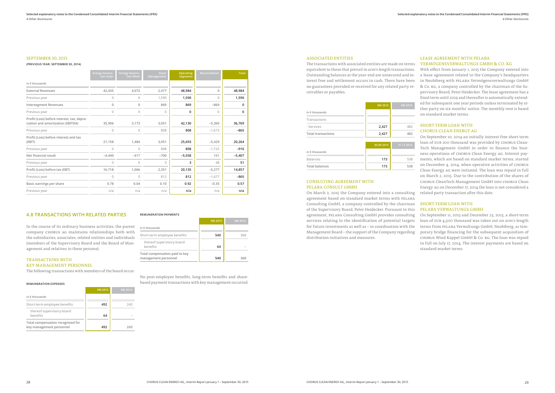#### SEPTEMBER 30, 2015

#### **(PREVIOUS YEAR: SEPTEMBER 30, 2014)**

|                                                                                 | <b>Energy Genera-</b><br>tion Solar | <b>Energy Genera-</b><br>tion Wind | Asset<br><b>Management</b> | <b>Operating</b><br><b>Segments</b> | Reconciliation | <b>Total</b> |
|---------------------------------------------------------------------------------|-------------------------------------|------------------------------------|----------------------------|-------------------------------------|----------------|--------------|
| in $\epsilon$ thousands                                                         |                                     |                                    |                            |                                     |                |              |
| <b>External Revenues</b>                                                        | 42,435                              | 4,072                              | 2,477                      | 48,984                              | 0              | 48,984       |
| Previous year                                                                   | 0                                   | $\Omega$                           | 1,590                      | 1,590                               | $\cap$         | 1,590        |
| <b>Intersegment Revenues</b>                                                    | $\mathbf{0}$                        | $\mathbf{0}$                       | 869                        | 869                                 | $-869$         | 0            |
| Previous year                                                                   | $\Omega$                            | $\circ$                            | $\Omega$                   | 0                                   | $\bigcap$      | 0            |
| Profit (Loss) before interest, tax, depre-<br>ciation and amortization (EBITDA) | 35,906                              | 3,173                              | 3,051                      | 42,130                              | $-5,360$       | 36,769       |
| Previous year                                                                   | $\Omega$                            | $\Omega$                           | 808                        | 808                                 | $-1,673$       | $-865$       |
| Profit (Loss) before interest and tax<br>(EBIT)                                 | 21,158                              | 1,484                              | 3,051                      | 25,693                              | $-5,429$       | 20,264       |
| Previous year                                                                   | $\circ$                             | $\circ$                            | 808                        | 808                                 | $-1,725$       | $-916$       |
| Net financial result                                                            | $-4.440$                            | $-417$                             | $-700$                     | $-5,558$                            | 151            | $-5,407$     |
| Previous year                                                                   | $\circ$                             | $\Omega$                           | 3                          | 3                                   | 48             | 51           |
| Profit (Loss) before tax (EBT)                                                  | 16,718                              | 1,066                              | 2,351                      | 20,135                              | $-5,277$       | 14,857       |
| Previous year                                                                   | $\Omega$                            | $\Omega$                           | 812                        | 812                                 | $-1,677$       | $-865$       |
| Basic earnings per share                                                        | 0.78                                | 0.04                               | 0.10                       | 0.92                                | $-0.35$        | 0.57         |
| Previous year                                                                   | n/a                                 | n/a                                | n/a                        | n/a                                 | n/a            | n/a          |

#### **4.8 TRANSACTIONS WITH RELATED PARTIES**

In the course of its ordinary business activities, the parent company CHORUS AG maintains relationships both with the subsidiaries, associates, related entities and individuals (members of the Supervisory Board and the Board of Management and relatives to these persons).

#### TRANSACTIONS WITH KEY MANAGEMENT PERSONNEL

The following transactions with members of the board occur:

#### **REMUNERATION EXPENSES**

|                                                               | 9M 2015 | 9M 2014 |
|---------------------------------------------------------------|---------|---------|
| in $\epsilon$ thousands                                       |         |         |
| Short-term employee benefits                                  | 492     | 243     |
| thereof supervisory board<br>benefits                         | 64      |         |
| Total compensation recognized for<br>key management personnel | 492     | フムマ     |

#### ASSOCIATED ENTITIES

The transactions with associated entities are made on terms equivalent to those that prevail in arm's length transactions. Outstanding balances at the year-end are unsecured and interest free and settlement occurs in cash. There have been no guarantees provided or received for any related party receivables or payables.

|                           | 9M 2015 | 9M 2014 |
|---------------------------|---------|---------|
| in $\epsilon$ thousands   |         |         |
| Transactions              |         |         |
| - Services                | 2,427   | 482     |
| <b>Total transactions</b> | 2,427   | 482     |

|                         | 30.09.2015 | 31.12.2014 |
|-------------------------|------------|------------|
| in $\epsilon$ thousands |            |            |
| <b>Balances</b>         | 173        | 538        |
| <b>Total balances</b>   | 173        | 538        |

#### CONSULTING AGREEMENT WITH PELABA CONSULT GMBH

On March 2, 2015 the Company entered into a consulting agreement based on standard market terms with PELABA Consulting GmbH, a company controlled by the chairman SHORT-TERM LOAN WITH of the Supervisory Board, Peter Heidecker. Pursuant to this agreement, PELABA Consulting GmbH provides consulting services relating to the identification of potential targets for future investments as well as – in coordination with the Management Board – the support of the Company regarding distribution initiatives and measures.

#### LEASE AGREEMENT WITH PELABA VERMÖGENSVERWALTUNGS GMBH & CO. KG

With effect from January 1, 2015 the Company entered into a lease agreement related to the Company's headquarters in Neubiberg with PELABA Vermögensverwaltungs GmbH & Co. KG, a company controlled by the chairman of the Supervisory Board, Peter Heidecker. The lease agreement has a fixed term until 2019 and thereafter is automatically extended for subsequent one year periods unless terminated by either party on six months' notice. The monthly rent is based on standard market terms.

#### SHORT-TERM LOAN WITH CHORUS CLEAN ENERGY AG

On September 10, 2014 an initially interest-free short-term loan of EUR 100 thousand was provided by CHORUS Clean-Tech Management GmbH in order to finance the business operations of CHORUS Clean Energy AG. Interest payments, which are based on standard market terms, started on December 4, 2014, when operative activities of CHORUS Clean Energy AG were initiated. The loan was repaid in full on March 2, 2015. Due to the contribution of the shares of CHORUS CleanTech Management GmbH into CHORUS Clean Energy AG on December 17, 2014 the loan is not considered a related party transaction after this date.

## PELABA VERWALTUNGS GMBH

On September 11, 2013 and December 23, 2013, a short-term loan of EUR 4,500 thousand was taken out on arm's-length terms from PELABA Verwaltungs GmbH, Neubiberg, as temporary bridge financing for the subsequent acquisition of CHORUS Wind Kappel GmbH & Co. KG. The loan was repaid in full on July 17, 2014. The interest payments are based on standard market terms.

**REMUNERATION PAYMENTS**

**9M 2015 9M 2014**

**in € thousands**

thereof supervisory board

benefits **64** – **Total compensation paid to key management personnel 540 368**

Short-term employee benefits **540 540** 368

No post-employee benefits, long-term benefits and sharebased payment transactions with key management occurred.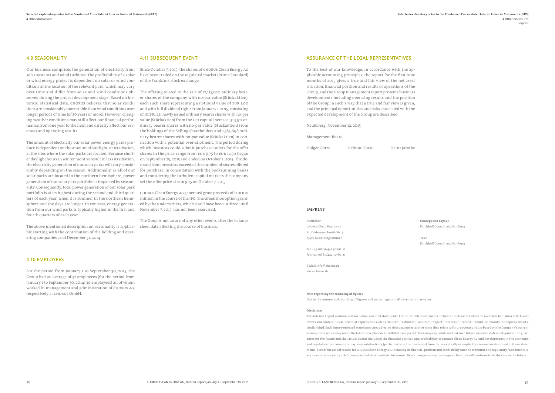#### Note regarding the rounding of figures

Due to the commercial rounding of figures and percentages, small deviations may occur.

#### Disclaimer

This Interim Report contains certain future-oriented statements. Future-oriented statements include all statements which do not relate to historical facts and events and contain future-oriented expressions such as "believe", "estimate", "assume", "expect", "forecast", "intend", "could" or "should" or expressions of a similar kind. Such future-oriented statements are subject to risks and uncertainties since they relate to future events and are based on the Company's current assumptions, which may not in the future take place or be fulfilled as expected. The Company points out that such future-oriented statements provide no guarantee for the future and that actual events including the financial position and profitability of CHORUS Clean Energy AG and developments in the economic and regulatory fundamentals may vary substantially (particularly on the down side) from those explicitly or implicitly assumed or described in these statements. Even if the actual results for CHORUS Clean Energy AG, including its financial position and profitability and the economic and regulatory fundamentals, are in accordance with such future-oriented statements in this Annual Report, no guarantee can be given that this will continue to be the case in the future.

#### IMPRINT

Publisher CHORUS Clean Energy AG

Prof.-Messerschmitt-Str. 3 85579 Neubiberg/Munich

Tel. +49 (0) 89/442 30 60-0 Fax +49 (0) 89/442 30 60-11

E-Mail info@chorus.de www.chorus.de

Concept and Layout

Kirchhoff Consult AG, Hamburg

Text

Kirchhoff Consult AG, Hamburg

#### **4.9 SEASONALITY**

Our business comprises the generation of electricity from solar systems and wind turbines. The profitability of a solar or wind energy project is dependent on solar or wind conditions at the location of the relevant park, which may vary over time and differ from solar and wind conditions observed during the project development stage. Based on historical statistical data, CHORUS believes that solar conditions are considerably more stable than wind conditions over longer periods of time (of 20 years or more). However, changing weather conditions may still affect our financial performance from one year to the next and directly affect our revenues and operating results.

The amount of electricity our solar power energy parks produce is dependent on the amount of sunlight, or irradiation, at the sites where the solar parks are located. Because shorter daylight hours in winter months result in less irradiation, the electricity generation of our solar parks will vary considerably depending on the season. Additionally, as all of our solar parks are located in the northern hemisphere, power generation of our solar park portfolio is impacted by seasonality. Consequently, total power generation of our solar park portfolio is at its highest during the second and third quarters of each year, when it is summer in the northern hemisphere and the days are longer. In contrast, energy generation from our wind parks is typically higher in the first and fourth quarters of each year.

The above mentioned description on seasonality is applicable starting with the contribution of the holding and operating companies as of December 31, 2014.

#### **4.10 EMPLOYEES**

For the period from January 1 to September 30, 2015, the Group had an average of 32 employees (for the period from January 1 to September 30, 2014: 30 employees) all of whom worked in management and administration of CHORUS AG, respectively at CHORUS GmbH.

#### **4.11 SUBSEQUENT EVENT**

Since October 7, 2015, the shares of CHORUS Clean Energy AG have been traded on the regulated market (Prime Standard) of the Frankfurt stock exchange.

The offering related to the sale of 12,157,020 ordinary bearer shares of the company with no-par value (Stückaktien), each such share representing a notional value of EUR 1.00 and with full dividend rights from January 1, 2015, consisting of 10,256,411 newly issued ordinary bearer shares with no-par value (Stückaktien) from the IPO capital increase, 314,911 ordinary bearer shares with no-par value (Stückaktien) from the holdings of the Selling Shareholders and 1,585,698 ordinary bearer shares with no-par value (Stückaktien) in connection with a potential over-allotment. The period during which investors could submit purchase orders for the offer shares in the price range from EUR 9.75 to EUR 12.50 began on September 25, 2015 and ended on October 2, 2015. The demand from investors exceeded the number of shares offered for purchase. In consultation with the bookrunning banks and considering the turbulent capital markets the company set the offer price at EUR 9.75 on October 7, 2015.

CHORUS Clean Energy AG generated gross proceeds of EUR 100 million in the course of the IPO. The Greenshoe option granted by the underwriters, which could have been utilized until November 7, 2015, has not been exercised.

The Goup is not aware of any other events after the balance sheet date affecting the course of business.

#### **ASSURANCE OF THE LEGAL REPRESENTATIVES**

To the best of our knowledge, in accordance with the applicable accounting principles, the report for the first nine months of 2015 gives a true and fair view of the net asset situation, financial position and results of operations of the Group, and the Group management report presents business developments including operating results and the position of the Group in such a way that a true and fair view is given, and the principal opportunities and risks associated with the expected development of the Group are described.

Neubiberg, November 12, 2015

Management Board

Holger Götze Helmut Horst Heinz Jarothe